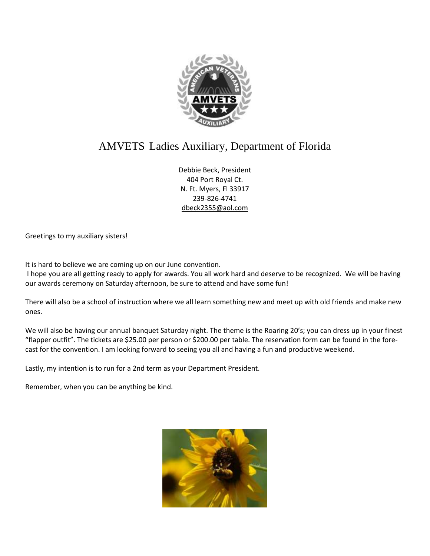

# AMVETS Ladies Auxiliary, Department of Florida

Debbie Beck, President 404 Port Royal Ct. N. Ft. Myers, Fl 33917 239-826-4741 [dbeck2355@aol.com](mailto:dbeck2355@aol.com)

Greetings to my auxiliary sisters!

It is hard to believe we are coming up on our June convention.

I hope you are all getting ready to apply for awards. You all work hard and deserve to be recognized. We will be having our awards ceremony on Saturday afternoon, be sure to attend and have some fun!

There will also be a school of instruction where we all learn something new and meet up with old friends and make new ones.

We will also be having our annual banquet Saturday night. The theme is the Roaring 20's; you can dress up in your finest "flapper outfit". The tickets are \$25.00 per person or \$200.00 per table. The reservation form can be found in the forecast for the convention. I am looking forward to seeing you all and having a fun and productive weekend.

Lastly, my intention is to run for a 2nd term as your Department President.

Remember, when you can be anything be kind.

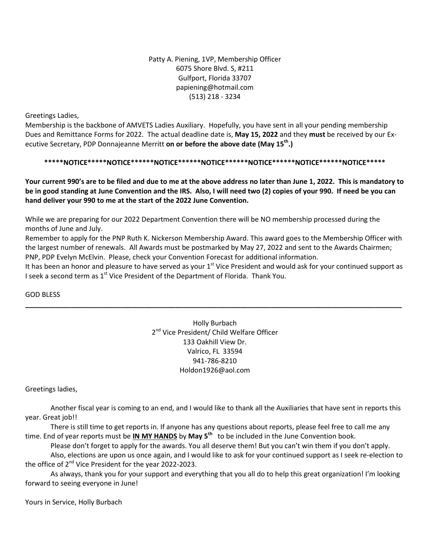Patty A. Piening, 1VP, Membership Officer 6075 Shore Blvd. S, #211 Gulfport, Florida 33707 papiening@hotmail.com (513) 218 - 3234

Greetings Ladies,

Membership is the backbone of AMVETS Ladies Auxiliary. Hopefully, you have sent in all your pending membership Dues and Remittance Forms for 2022. The actual deadline date is, **May 15, 2022** and they **must** be received by our Executive Secretary, PDP Donnajeanne Merritt **on or before the above date (May 15th.)** 

**\*\*\*\*\*NOTICE\*\*\*\*\*NOTICE\*\*\*\*\*\*NOTICE\*\*\*\*\*\*NOTICE\*\*\*\*\*\*NOTICE\*\*\*\*\*\*NOTICE\*\*\*\*\*\*NOTICE\*\*\*\*\***

Your current 990's are to be filed and due to me at the above address no later than June 1, 2022. This is mandatory to be in good standing at June Convention and the IRS. Also, I will need two (2) copies of your 990. If need be you can **hand deliver your 990 to me at the start of the 2022 June Convention.**

While we are preparing for our 2022 Department Convention there will be NO membership processed during the months of June and July.

Remember to apply for the PNP Ruth K. Nickerson Membership Award. This award goes to the Membership Officer with the largest number of renewals. All Awards must be postmarked by May 27, 2022 and sent to the Awards Chairmen; PNP, PDP Evelyn McElvin. Please, check your Convention Forecast for additional information.

It has been an honor and pleasure to have served as your 1<sup>st</sup> Vice President and would ask for your continued support as I seek a second term as  $1^{st}$  Vice President of the Department of Florida. Thank You.

**\_\_\_\_\_\_\_\_\_\_\_\_\_\_\_\_\_\_\_\_\_\_\_\_\_\_\_\_\_\_\_\_\_\_\_\_\_\_\_\_\_\_\_\_\_\_\_\_\_\_\_\_\_\_\_\_\_\_\_\_\_\_\_\_\_\_\_\_\_\_\_\_\_\_\_\_\_\_\_\_\_\_\_\_\_\_\_\_\_\_\_\_\_\_\_\_\_\_**

GOD BLESS

Holly Burbach 2<sup>nd</sup> Vice President/ Child Welfare Officer 133 Oakhill View Dr. Valrico, FL 33594 941-786-8210 Holdon1926@aol.com

Greetings ladies,

Another fiscal year is coming to an end, and I would like to thank all the Auxiliaries that have sent in reports this year. Great job!!

There is still time to get reports in. If anyone has any questions about reports, please feel free to call me any time. End of year reports must be **IN MY HANDS** by **May 5th** to be included in the June Convention book.

Please don't forget to apply for the awards. You all deserve them! But you can't win them if you don't apply. Also, elections are upon us once again, and I would like to ask for your continued support as I seek re-election to

the office of 2<sup>nd</sup> Vice President for the year 2022-2023.

As always, thank you for your support and everything that you all do to help this great organization! I'm looking forward to seeing everyone in June!

Yours in Service, Holly Burbach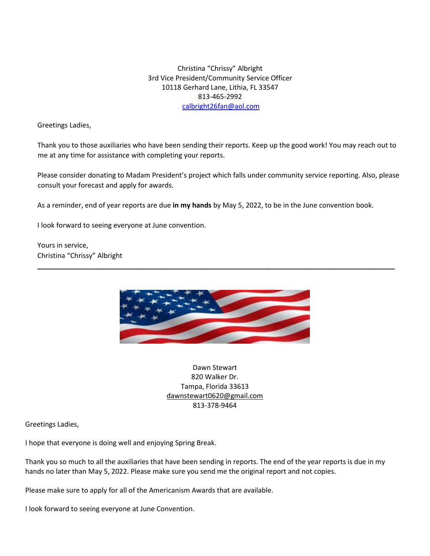Christina "Chrissy" Albright 3rd Vice President/Community Service Officer 10118 Gerhard Lane, Lithia, FL 33547 813-465-2992 calbright26fan@aol.com

Greetings Ladies,

Thank you to those auxiliaries who have been sending their reports. Keep up the good work! You may reach out to me at any time for assistance with completing your reports.

Please consider donating to Madam President's project which falls under community service reporting. Also, please consult your forecast and apply for awards.

As a reminder, end of year reports are due **in my hands** by May 5, 2022, to be in the June convention book.

I look forward to seeing everyone at June convention.

Yours in service, Christina "Chrissy" Albright



**\_\_\_\_\_\_\_\_\_\_\_\_\_\_\_\_\_\_\_\_\_\_\_\_\_\_\_\_\_\_\_\_\_\_\_\_\_\_\_\_\_\_\_\_\_\_\_\_\_\_\_\_\_\_\_\_\_\_\_\_\_\_\_\_\_\_\_\_\_\_\_\_\_\_\_\_\_\_\_\_\_\_\_\_\_\_\_\_\_\_\_\_\_**

Dawn Stewart 820 Walker Dr. Tampa, Florida 33613 [dawnstewart0620@gmail.com](mailto:dawnstewart0620@gmail.com) 813-378-9464

Greetings Ladies,

I hope that everyone is doing well and enjoying Spring Break.

Thank you so much to all the auxiliaries that have been sending in reports. The end of the year reports is due in my hands no later than May 5, 2022. Please make sure you send me the original report and not copies.

Please make sure to apply for all of the Americanism Awards that are available.

I look forward to seeing everyone at June Convention.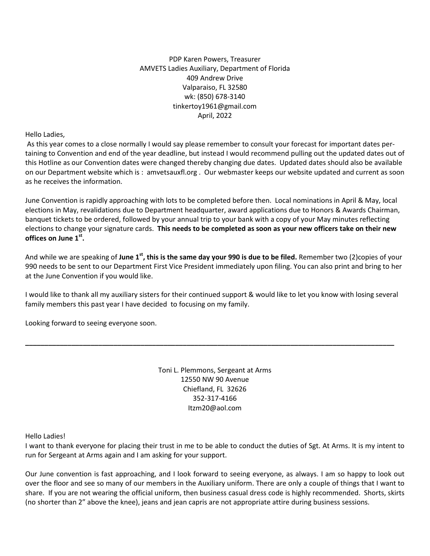PDP Karen Powers, Treasurer AMVETS Ladies Auxiliary, Department of Florida 409 Andrew Drive Valparaiso, FL 32580 wk: (850) 678-3140 tinkertoy1961@gmail.com April, 2022

Hello Ladies,

As this year comes to a close normally I would say please remember to consult your forecast for important dates pertaining to Convention and end of the year deadline, but instead I would recommend pulling out the updated dates out of this Hotline as our Convention dates were changed thereby changing due dates. Updated dates should also be available on our Department website which is : amvetsauxfl.org . Our webmaster keeps our website updated and current as soon as he receives the information.

June Convention is rapidly approaching with lots to be completed before then. Local nominations in April & May, local elections in May, revalidations due to Department headquarter, award applications due to Honors & Awards Chairman, banquet tickets to be ordered, followed by your annual trip to your bank with a copy of your May minutes reflecting elections to change your signature cards. **This needs to be completed as soon as your new officers take on their new offices on June 1 st .**

And while we are speaking of **June 1<sup>st</sup>, this is the same day your 990 is due to be filed.** Remember two (2)copies of your 990 needs to be sent to our Department First Vice President immediately upon filing. You can also print and bring to her at the June Convention if you would like.

I would like to thank all my auxiliary sisters for their continued support & would like to let you know with losing several family members this past year I have decided to focusing on my family.

**\_\_\_\_\_\_\_\_\_\_\_\_\_\_\_\_\_\_\_\_\_\_\_\_\_\_\_\_\_\_\_\_\_\_\_\_\_\_\_\_\_\_\_\_\_\_\_\_\_\_\_\_\_\_\_\_\_\_\_\_\_\_\_\_\_\_\_\_\_\_\_\_\_\_\_\_\_\_\_\_\_\_\_\_\_\_\_\_\_\_\_\_\_\_\_\_**

Looking forward to seeing everyone soon.

Toni L. Plemmons, Sergeant at Arms 12550 NW 90 Avenue Chiefland, FL 32626 352-317-4166 Itzm20@aol.com

Hello Ladies!

I want to thank everyone for placing their trust in me to be able to conduct the duties of Sgt. At Arms. It is my intent to run for Sergeant at Arms again and I am asking for your support.

Our June convention is fast approaching, and I look forward to seeing everyone, as always. I am so happy to look out over the floor and see so many of our members in the Auxiliary uniform. There are only a couple of things that I want to share. If you are not wearing the official uniform, then business casual dress code is highly recommended. Shorts, skirts (no shorter than 2" above the knee), jeans and jean capris are not appropriate attire during business sessions.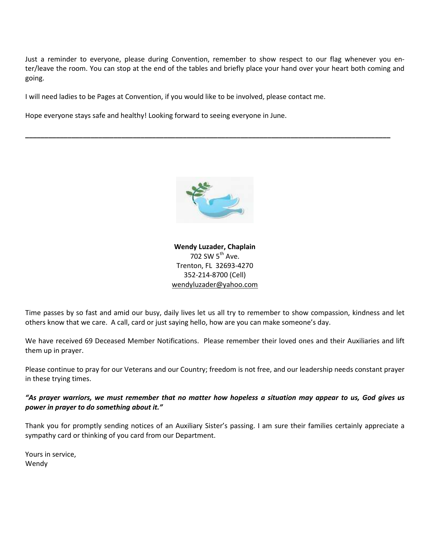Just a reminder to everyone, please during Convention, remember to show respect to our flag whenever you enter/leave the room. You can stop at the end of the tables and briefly place your hand over your heart both coming and going.

I will need ladies to be Pages at Convention, if you would like to be involved, please contact me.

Hope everyone stays safe and healthy! Looking forward to seeing everyone in June.



**\_\_\_\_\_\_\_\_\_\_\_\_\_\_\_\_\_\_\_\_\_\_\_\_\_\_\_\_\_\_\_\_\_\_\_\_\_\_\_\_\_\_\_\_\_\_\_\_\_\_\_\_\_\_\_\_\_\_\_\_\_\_\_\_\_\_\_\_\_\_\_\_\_\_\_\_\_\_\_\_\_\_\_\_\_\_\_\_\_\_\_\_\_\_\_**

**Wendy Luzader, Chaplain** 702 SW  $5^{\text{th}}$  Ave. Trenton, FL 32693-4270 352-214-8700 (Cell) [wendyluzader@yahoo.com](mailto:wendyluzader@yahoo.com)

Time passes by so fast and amid our busy, daily lives let us all try to remember to show compassion, kindness and let others know that we care. A call, card or just saying hello, how are you can make someone's day.

We have received 69 Deceased Member Notifications. Please remember their loved ones and their Auxiliaries and lift them up in prayer.

Please continue to pray for our Veterans and our Country; freedom is not free, and our leadership needs constant prayer in these trying times.

## "As prayer warriors, we must remember that no matter how hopeless a situation may appear to us, God gives us *power in prayer to do something about it."*

Thank you for promptly sending notices of an Auxiliary Sister's passing. I am sure their families certainly appreciate a sympathy card or thinking of you card from our Department.

Yours in service, Wendy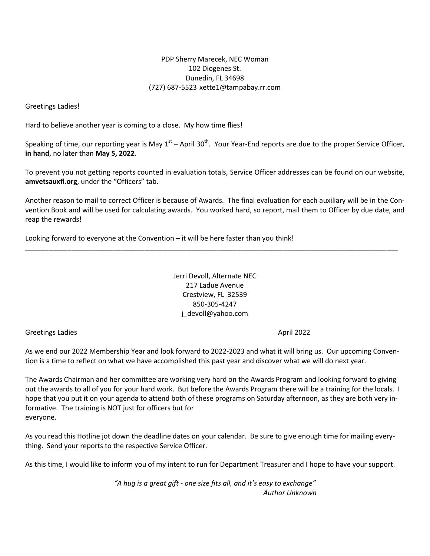# PDP Sherry Marecek, NEC Woman 102 Diogenes St. Dunedin, FL 34698 (727) 687-5523 [xette1@tampabay.rr.com](mailto:xette1@tampabay.rr.com)

Greetings Ladies!

Hard to believe another year is coming to a close. My how time flies!

Speaking of time, our reporting year is May 1<sup>st</sup> – April 30<sup>th</sup>. Your Year-End reports are due to the proper Service Officer, **in hand**, no later than **May 5, 2022**.

To prevent you not getting reports counted in evaluation totals, Service Officer addresses can be found on our website, **amvetsauxfl.org**, under the "Officers" tab.

Another reason to mail to correct Officer is because of Awards. The final evaluation for each auxiliary will be in the Convention Book and will be used for calculating awards. You worked hard, so report, mail them to Officer by due date, and reap the rewards!

**\_\_\_\_\_\_\_\_\_\_\_\_\_\_\_\_\_\_\_\_\_\_\_\_\_\_\_\_\_\_\_\_\_\_\_\_\_\_\_\_\_\_\_\_\_\_\_\_\_\_\_\_\_\_\_\_\_\_\_\_\_\_\_\_\_\_\_\_\_\_\_\_\_\_\_\_\_\_\_\_\_\_\_\_\_\_\_\_\_\_\_\_\_\_\_\_\_**

Looking forward to everyone at the Convention – it will be here faster than you think!

Jerri Devoll, Alternate NEC 217 Ladue Avenue Crestview, FL 32539 850-305-4247 j\_devoll@yahoo.com

Greetings Ladies **April 2022** 

As we end our 2022 Membership Year and look forward to 2022-2023 and what it will bring us. Our upcoming Convention is a time to reflect on what we have accomplished this past year and discover what we will do next year.

The Awards Chairman and her committee are working very hard on the Awards Program and looking forward to giving out the awards to all of you for your hard work. But before the Awards Program there will be a training for the locals. I hope that you put it on your agenda to attend both of these programs on Saturday afternoon, as they are both very informative. The training is NOT just for officers but for everyone.

As you read this Hotline jot down the deadline dates on your calendar. Be sure to give enough time for mailing everything. Send your reports to the respective Service Officer.

As this time, I would like to inform you of my intent to run for Department Treasurer and I hope to have your support.

*"A hug is a great gift - one size fits all, and it's easy to exchange" Author Unknown*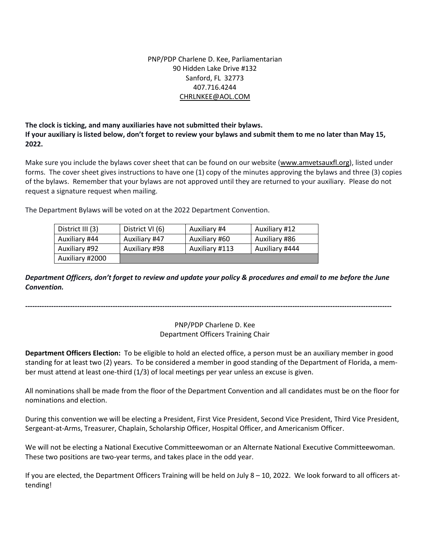# PNP/PDP Charlene D. Kee, Parliamentarian 90 Hidden Lake Drive #132 Sanford, FL 32773 407.716.4244 [CHRLNKEE@AOL.COM](mailto:CHRLNKEE@AOL.COM)

**The clock is ticking, and many auxiliaries have not submitted their bylaws. If your auxiliary is listed below, don't forget to review your bylaws and submit them to me no later than May 15, 2022.**

Make sure you include the bylaws cover sheet that can be found on our website [\(www.amvetsauxfl.org\)](http://www.amvetsauxfl.org/), listed under forms. The cover sheet gives instructions to have one (1) copy of the minutes approving the bylaws and three (3) copies of the bylaws. Remember that your bylaws are not approved until they are returned to your auxiliary. Please do not request a signature request when mailing.

The Department Bylaws will be voted on at the 2022 Department Convention.

| District III (3) | District VI (6) | Auxiliary #4   | Auxiliary #12  |
|------------------|-----------------|----------------|----------------|
| Auxiliary #44    | Auxiliary #47   | Auxiliary #60  | Auxiliary #86  |
| Auxiliary #92    | Auxiliary #98   | Auxiliary #113 | Auxiliary #444 |
| Auxiliary #2000  |                 |                |                |

Department Officers, don't forget to review and update your policy & procedures and email to me before the June *Convention.*

*-----------------------------------------------------------------------------------------------------------------------------------------------------------*

# PNP/PDP Charlene D. Kee Department Officers Training Chair

**Department Officers Election:** To be eligible to hold an elected office, a person must be an auxiliary member in good standing for at least two (2) years. To be considered a member in good standing of the Department of Florida, a member must attend at least one-third (1/3) of local meetings per year unless an excuse is given.

All nominations shall be made from the floor of the Department Convention and all candidates must be on the floor for nominations and election.

During this convention we will be electing a President, First Vice President, Second Vice President, Third Vice President, Sergeant-at-Arms, Treasurer, Chaplain, Scholarship Officer, Hospital Officer, and Americanism Officer.

We will not be electing a National Executive Committeewoman or an Alternate National Executive Committeewoman. These two positions are two-year terms, and takes place in the odd year.

If you are elected, the Department Officers Training will be held on July 8 – 10, 2022. We look forward to all officers attending!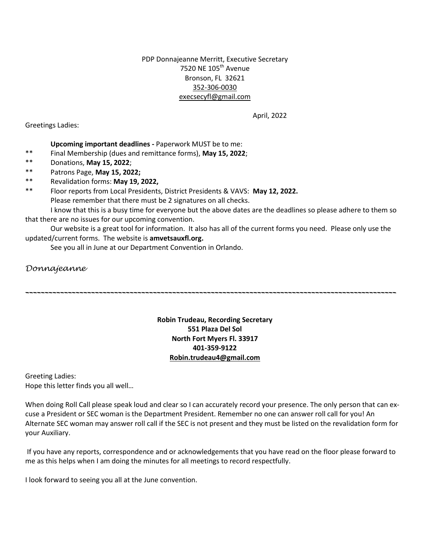PDP Donnajeanne Merritt, Executive Secretary 7520 NE 105<sup>th</sup> Avenue Bronson, FL 32621 352-306-0030 execsecyfl@gmail.com

April, 2022

Greetings Ladies:

## **Upcoming important deadlines -** Paperwork MUST be to me:

- \*\* Final Membership (dues and remittance forms), **May 15, 2022**;
- \*\* Donations, **May 15, 2022**;
- \*\* Patrons Page, **May 15, 2022;**
- \*\* Revalidation forms: **May 19, 2022,**
- \*\* Floor reports from Local Presidents, District Presidents & VAVS: **May 12, 2022.** Please remember that there must be 2 signatures on all checks.

I know that this is a busy time for everyone but the above dates are the deadlines so please adhere to them so that there are no issues for our upcoming convention.

Our website is a great tool for information. It also has all of the current forms you need. Please only use the updated/current forms. The website is **amvetsauxfl.org.** 

See you all in June at our Department Convention in Orlando.

*Donnajeanne*

# **Robin Trudeau, Recording Secretary 551 Plaza Del Sol North Fort Myers Fl. 33917 401-359-9122 [Robin.trudeau4@gmail.com](mailto:Robin.trudeau4@gmail.com)**

*\_\_\_\_\_\_\_\_\_\_\_\_\_\_\_\_\_\_\_\_\_\_\_\_\_\_\_\_\_\_\_\_\_\_\_\_\_\_\_\_\_\_\_\_\_\_\_\_\_\_\_\_\_\_\_\_\_\_\_\_\_\_\_\_\_\_\_\_\_\_\_\_\_\_\_\_\_\_\_\_\_\_\_\_\_\_\_\_\_\_\_\_\_\_\_\_* 

Greeting Ladies: Hope this letter finds you all well…

When doing Roll Call please speak loud and clear so I can accurately record your presence. The only person that can excuse a President or SEC woman is the Department President. Remember no one can answer roll call for you! An Alternate SEC woman may answer roll call if the SEC is not present and they must be listed on the revalidation form for your Auxiliary.

If you have any reports, correspondence and or acknowledgements that you have read on the floor please forward to me as this helps when I am doing the minutes for all meetings to record respectfully.

I look forward to seeing you all at the June convention.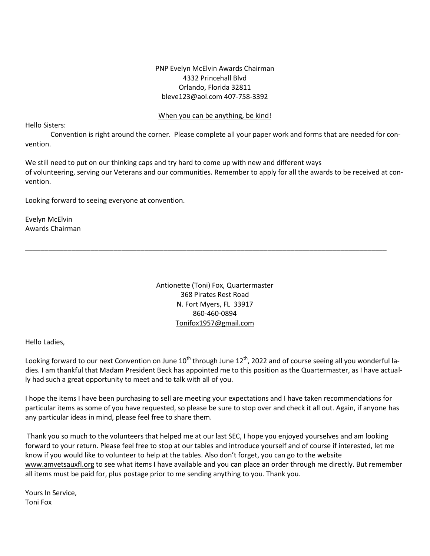## PNP Evelyn McElvin Awards Chairman 4332 Princehall Blvd Orlando, Florida 32811 bleve123@aol.com 407-758-3392

### When you can be anything, be kind!

Hello Sisters:

Convention is right around the corner. Please complete all your paper work and forms that are needed for convention.

We still need to put on our thinking caps and try hard to come up with new and different ways of volunteering, serving our Veterans and our communities. Remember to apply for all the awards to be received at convention.

Looking forward to seeing everyone at convention.

Evelyn McElvin Awards Chairman

> Antionette (Toni) Fox, Quartermaster 368 Pirates Rest Road N. Fort Myers, FL 33917 860-460-0894 [Tonifox1957@gmail.com](mailto:Tonifox1957@gmail.com)

**\_\_\_\_\_\_\_\_\_\_\_\_\_\_\_\_\_\_\_\_\_\_\_\_\_\_\_\_\_\_\_\_\_\_\_\_\_\_\_\_\_\_\_\_\_\_\_\_\_\_\_\_\_\_\_\_\_\_\_\_\_\_\_\_\_\_\_\_\_\_\_\_\_\_\_\_\_\_\_\_\_\_\_\_\_\_\_\_\_\_\_\_\_\_**

Hello Ladies,

Looking forward to our next Convention on June  $10^{th}$  through June  $12^{th}$ , 2022 and of course seeing all you wonderful ladies. I am thankful that Madam President Beck has appointed me to this position as the Quartermaster, as I have actually had such a great opportunity to meet and to talk with all of you.

I hope the items I have been purchasing to sell are meeting your expectations and I have taken recommendations for particular items as some of you have requested, so please be sure to stop over and check it all out. Again, if anyone has any particular ideas in mind, please feel free to share them.

Thank you so much to the volunteers that helped me at our last SEC, I hope you enjoyed yourselves and am looking forward to your return. Please feel free to stop at our tables and introduce yourself and of course if interested, let me know if you would like to volunteer to help at the tables. Also don't forget, you can go to the website [www.amvetsauxfl.org](http://www.amvetsauxfl.org/) to see what items I have available and you can place an order through me directly. But remember all items must be paid for, plus postage prior to me sending anything to you. Thank you.

Yours In Service, Toni Fox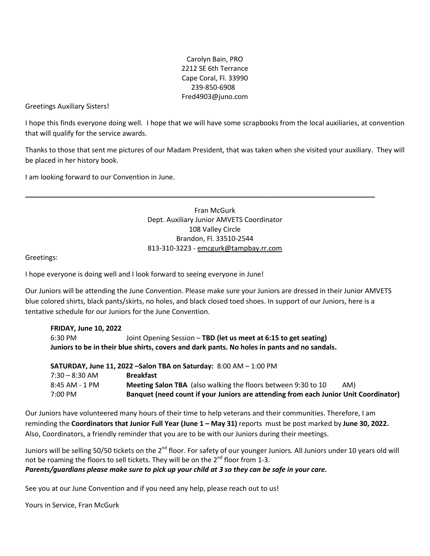Carolyn Bain, PRO 2212 SE 6th Terrance Cape Coral, Fl. 33990 239-850-6908 Fred4903@juno.com

Greetings Auxiliary Sisters!

I hope this finds everyone doing well. I hope that we will have some scrapbooks from the local auxiliaries, at convention that will qualify for the service awards.

Thanks to those that sent me pictures of our Madam President, that was taken when she visited your auxiliary. They will be placed in her history book.

I am looking forward to our Convention in June.

# Fran McGurk Dept. Auxiliary Junior AMVETS Coordinator 108 Valley Circle Brandon, Fl. 33510-2544 813-310-3223 - [emcgurk@tampbay.rr.com](mailto:emcgurk@tampbay.rr.com)

**\_\_\_\_\_\_\_\_\_\_\_\_\_\_\_\_\_\_\_\_\_\_\_\_\_\_\_\_\_\_\_\_\_\_\_\_\_\_\_\_\_\_\_\_\_\_\_\_\_\_\_\_\_\_\_\_\_\_\_\_\_\_\_\_\_\_\_\_\_\_\_\_\_\_\_\_\_\_\_\_\_\_\_\_\_\_\_\_\_\_\_**

Greetings:

I hope everyone is doing well and I look forward to seeing everyone in June!

Our Juniors will be attending the June Convention. Please make sure your Juniors are dressed in their Junior AMVETS blue colored shirts, black pants/skirts, no holes, and black closed toed shoes. In support of our Juniors, here is a tentative schedule for our Juniors for the June Convention.

| <b>FRIDAY, June 10, 2022</b>                                                                 |                                                                  |  |
|----------------------------------------------------------------------------------------------|------------------------------------------------------------------|--|
| 6:30 PM                                                                                      | Joint Opening Session - TBD (let us meet at 6:15 to get seating) |  |
| Juniors to be in their blue shirts, covers and dark pants. No holes in pants and no sandals. |                                                                  |  |
|                                                                                              |                                                                  |  |
| SATURDAY, June 11, 2022 - Salon TBA on Saturday: $8:00$ AM $-1:00$ PM                        |                                                                  |  |
| $7:30 - 8:30$ AM                                                                             | <b>Breakfast</b>                                                 |  |

7:00 PM **Banquet (need count if your Juniors are attending from each Junior Unit Coordinator)**

| Our Juniors have volunteered many hours of their time to help veterans and their communities. Therefore, I am    |
|------------------------------------------------------------------------------------------------------------------|
| reminding the Coordinators that Junior Full Year (June 1 - May 31) reports must be post marked by June 30, 2022. |
| Also, Coordinators, a friendly reminder that you are to be with our Juniors during their meetings.               |

8:45 AM - 1 PM **Meeting Salon TBA** (also walking the floors between 9:30 to 10 AM)

Juniors will be selling 50/50 tickets on the 2<sup>nd</sup> floor. For safety of our younger Juniors. All Juniors under 10 years old will not be roaming the floors to sell tickets. They will be on the 2<sup>nd</sup> floor from 1-3. Parents/guardians please make sure to pick up your child at 3 so they can be safe in your care.

See you at our June Convention and if you need any help, please reach out to us!

Yours in Service, Fran McGurk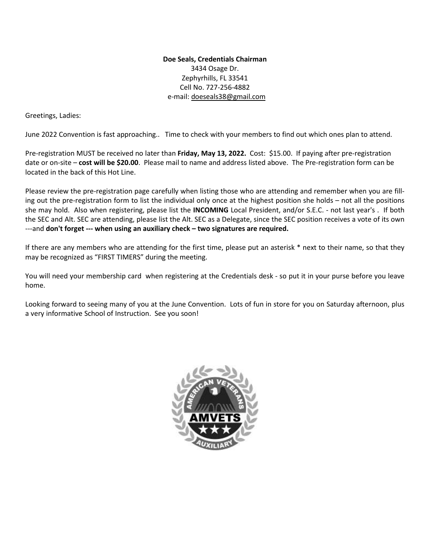# **Doe Seals, Credentials Chairman** 3434 Osage Dr. Zephyrhills, FL 33541 Cell No. 727-256-4882 e-mail: [do](mailto:dseals2@tampabay.rr.com)eseals38@gmail.com

Greetings, Ladies:

June 2022 Convention is fast approaching.. Time to check with your members to find out which ones plan to attend.

Pre-registration MUST be received no later than **Friday, May 13, 2022.** Cost: \$15.00. If paying after pre-registration date or on-site – **cost will be \$20.00**. Please mail to name and address listed above. The Pre-registration form can be located in the back of this Hot Line.

Please review the pre-registration page carefully when listing those who are attending and remember when you are filling out the pre-registration form to list the individual only once at the highest position she holds – not all the positions she may hold. Also when registering, please list the **INCOMING** Local President, and/or S.E.C. - not last year's . If both the SEC and Alt. SEC are attending, please list the Alt. SEC as a Delegate, since the SEC position receives a vote of its own ---and **don't forget --- when using an auxiliary check – two signatures are required.**

If there are any members who are attending for the first time, please put an asterisk \* next to their name, so that they may be recognized as "FIRST TIMERS" during the meeting.

You will need your membership card when registering at the Credentials desk - so put it in your purse before you leave home.

Looking forward to seeing many of you at the June Convention. Lots of fun in store for you on Saturday afternoon, plus a very informative School of Instruction. See you soon!

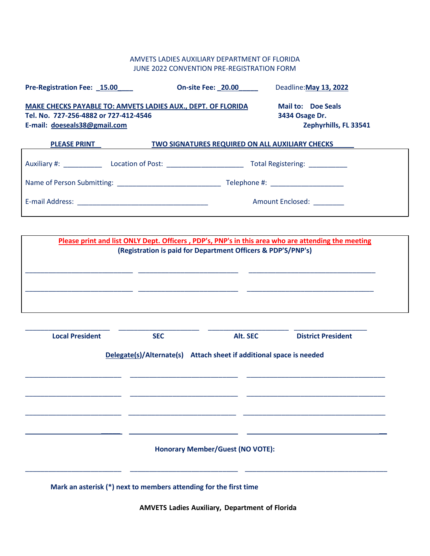# AMVETS LADIES AUXILIARY DEPARTMENT OF FLORIDA JUNE 2022 CONVENTION PRE-REGISTRATION FORM

| Pre-Registration Fee: 15.00                                                                                                           | <b>On-site Fee: 20.00</b>                                            | Deadline: May 13, 2022        |
|---------------------------------------------------------------------------------------------------------------------------------------|----------------------------------------------------------------------|-------------------------------|
| MAKE CHECKS PAYABLE TO: AMVETS LADIES AUX., DEPT. OF FLORIDA<br>Tel. No. 727-256-4882 or 727-412-4546<br>E-mail: doeseals38@gmail.com | <b>Mail to: Doe Seals</b><br>3434 Osage Dr.<br>Zephyrhills, FL 33541 |                               |
| <b>PLEASE PRINT</b>                                                                                                                   | TWO SIGNATURES REQUIRED ON ALL AUXILIARY CHECKS                      |                               |
| Auxiliary #: Location of Post:                                                                                                        |                                                                      | Total Registering: __________ |
|                                                                                                                                       |                                                                      |                               |
|                                                                                                                                       |                                                                      | <b>Amount Enclosed:</b>       |

| Please print and list ONLY Dept. Officers, PDP's, PNP's in this area who are attending the meeting<br>(Registration is paid for Department Officers & PDP'S/PNP's) |  |  |
|--------------------------------------------------------------------------------------------------------------------------------------------------------------------|--|--|
|                                                                                                                                                                    |  |  |
|                                                                                                                                                                    |  |  |
|                                                                                                                                                                    |  |  |

| <b>Local President</b> | <b>SEC</b> | Alt. SEC                                                            | <b>District President</b> |
|------------------------|------------|---------------------------------------------------------------------|---------------------------|
|                        |            | Delegate(s)/Alternate(s) Attach sheet if additional space is needed |                           |
|                        |            |                                                                     |                           |
|                        |            |                                                                     |                           |
|                        |            |                                                                     |                           |
|                        |            |                                                                     |                           |
|                        |            | <b>Honorary Member/Guest (NO VOTE):</b>                             |                           |
|                        |            |                                                                     |                           |

**Mark an asterisk (\*) next to members attending for the first time**

**AMVETS Ladies Auxiliary, Department of Florida**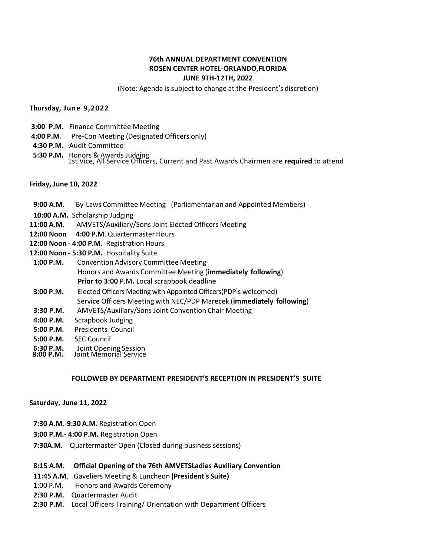## **76th ANNUAL DEPARTMENT CONVENTION ROSEN CENTER HOTEL-ORLANDO,FLORIDA JUNE 9TH-12TH, 2022**

(Note: Agenda is subject to change at the President's discretion)

**Thursday, June 9,2022**

- **3:00 P.M.** Finance Committee Meeting
- **4:00 P.M**. Pre-Con Meeting (Designated Officers only)
- **4:30 P.M.** Audit Committee
- **5:30 P.M.** Honors & Awards Judging 1st Vice, All Service Officers, Current and Past Awards Chairmen are **required** to attend

#### **Friday, June 10, 2022**

- **9:00 A.M.** By-Laws Committee Meeting (Parliamentarian and Appointed Members)
- **10:00 A.M.** Scholarship Judging
- **11:00 A.M.** AMVETS/Auxiliary/Sons Joint Elected Officers Meeting
- 12:00 Noon 4:00 P.M. Quartermaster Hours
- **12:00 Noon - 4:00 P.M**. Registration Hours
- **12:00 Noon - 5:30 P.M.** Hospitality Suite
- **1:00 P.M.** Convention Advisory Committee Meeting Honors and Awards Committee Meeting (**immediately following**) **Prior to 3:00** P.M**.** Local scrapbook deadline
- **3:00 P.M.** Elected Officers Meeting with Appointed Officers(PDP's welcomed) Service Officers Meeting with NEC/PDP Marecek (**immediately following**)
- **3:30 P.M.** AMVETS/Auxiliary/Sons Joint Convention Chair Meeting
- **4:00 P.M.** Scrapbook Judging
- **5:00 P.M.** Presidents Council
- **5:00 P.M.** SEC Council
- **6:30 P.M.** Joint Opening Session
- **8:00 P.M.** Joint Memorial Service

#### **FOLLOWED BY DEPARTMENT PRESIDENT'S RECEPTION IN PRESIDENT'S SUITE**

#### **Saturday, June 11, 2022**

- **7:30 A.M.-9:30 A.M**. Registration Open
- **3:00 P.M.- 4:00 P.M.** Registration Open
- **7:30A.M.** Quartermaster Open (Closed during business sessions)

#### **8:15 A.M. Official Opening of the 76th AMVETSLadies Auxiliary Convention**

- **11:45 A.M**. Gaveliers Meeting & Luncheon **(President**'**s Suite)**
- 1:00 P.M. Honors and Awards Ceremony
- **2:30 P.M.** Quartermaster Audit
- **2:30 P.M.** Local Officers Training/ Orientation with Department Officers